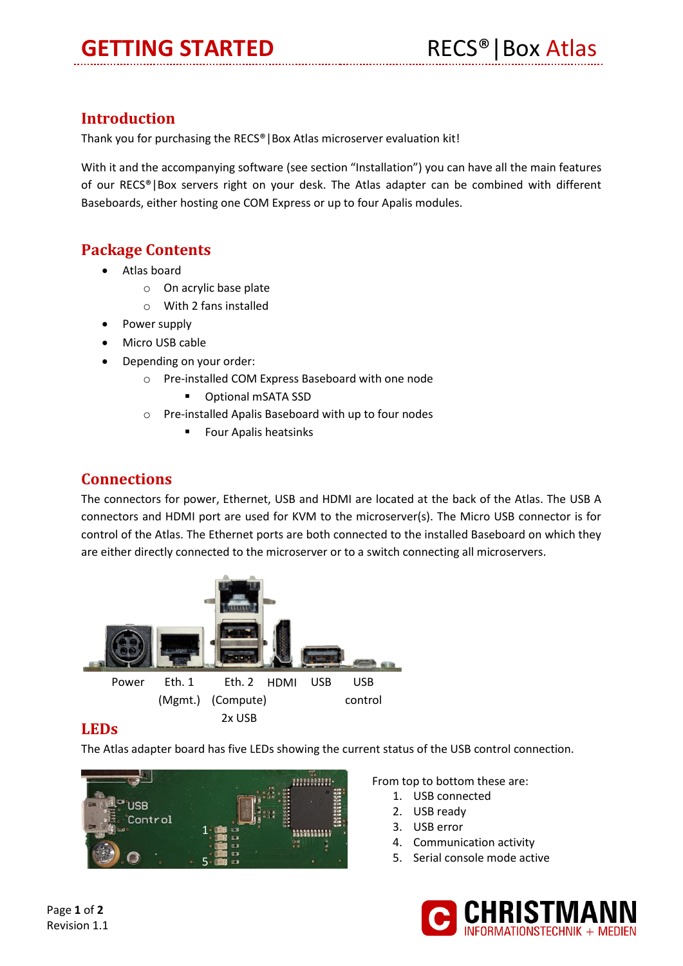# **GETTING STARTED** RECS<sup>®</sup> | Box Atlas

## **Introduction**

Thank you for purchasing the RECS®|Box Atlas microserver evaluation kit!

With it and the accompanying software (see section "Installation") you can have all the main features of our RECS®|Box servers right on your desk. The Atlas adapter can be combined with different Baseboards, either hosting one COM Express or up to four Apalis modules.

## **Package Contents**

- Atlas board
	- o On acrylic base plate
	- o With 2 fans installed
- Power supply
- Micro USB cable
- Depending on your order:
	- o Pre-installed COM Express Baseboard with one node
		- **•** Optional mSATA SSD
	- o Pre-installed Apalis Baseboard with up to four nodes
		- **Four Apalis heatsinks**

#### **Connections**

The connectors for power, Ethernet, USB and HDMI are located at the back of the Atlas. The USB A connectors and HDMI port are used for KVM to the microserver(s). The Micro USB connector is for control of the Atlas. The Ethernet ports are both connected to the installed Baseboard on which they are either directly connected to the microserver or to a switch connecting all microservers.



#### **LEDs**

The Atlas adapter board has five LEDs showing the current status of the USB control connection.



From top to bottom these are:

- 1. USB connected
- 2. USB ready
- 3. USB error
- 4. Communication activity
- 5. Serial console mode active